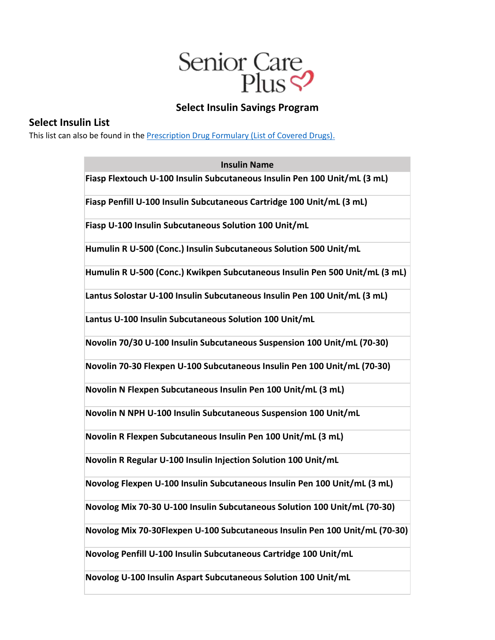

## **Select Insulin Savings Program**

## **Select Insulin List**

This list can also be found in the **Prescription Drug Formulary (List of Covered Drugs)**.

| <b>Insulin Name</b>                                                         |
|-----------------------------------------------------------------------------|
| Fiasp Flextouch U-100 Insulin Subcutaneous Insulin Pen 100 Unit/mL (3 mL)   |
| Fiasp Penfill U-100 Insulin Subcutaneous Cartridge 100 Unit/mL (3 mL)       |
| Fiasp U-100 Insulin Subcutaneous Solution 100 Unit/mL                       |
| Humulin R U-500 (Conc.) Insulin Subcutaneous Solution 500 Unit/mL           |
| Humulin R U-500 (Conc.) Kwikpen Subcutaneous Insulin Pen 500 Unit/mL (3 mL) |
| Lantus Solostar U-100 Insulin Subcutaneous Insulin Pen 100 Unit/mL (3 mL)   |
| Lantus U-100 Insulin Subcutaneous Solution 100 Unit/mL                      |
| Novolin 70/30 U-100 Insulin Subcutaneous Suspension 100 Unit/mL (70-30)     |
| Novolin 70-30 Flexpen U-100 Subcutaneous Insulin Pen 100 Unit/mL (70-30)    |
| Novolin N Flexpen Subcutaneous Insulin Pen 100 Unit/mL (3 mL)               |
| Novolin N NPH U-100 Insulin Subcutaneous Suspension 100 Unit/mL             |
| Novolin R Flexpen Subcutaneous Insulin Pen 100 Unit/mL (3 mL)               |
| Novolin R Regular U-100 Insulin Injection Solution 100 Unit/mL              |
| Novolog Flexpen U-100 Insulin Subcutaneous Insulin Pen 100 Unit/mL (3 mL)   |
| Novolog Mix 70-30 U-100 Insulin Subcutaneous Solution 100 Unit/mL (70-30)   |
| Novolog Mix 70-30Flexpen U-100 Subcutaneous Insulin Pen 100 Unit/mL (70-30) |
| Novolog Penfill U-100 Insulin Subcutaneous Cartridge 100 Unit/mL            |
| Novolog U-100 Insulin Aspart Subcutaneous Solution 100 Unit/mL              |